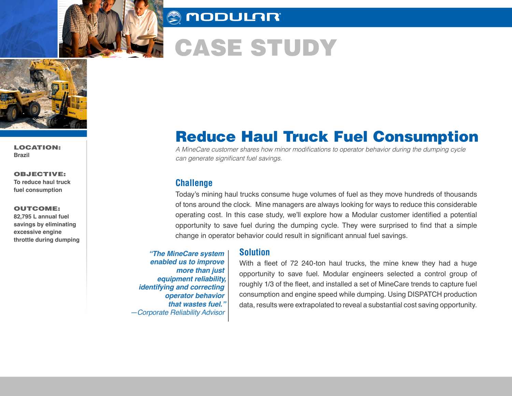

# **AUDULAR**

# CASE STUDY



LOCATION: **Brazil**

OBJECTIVE: **To reduce haul truck fuel consumption**

#### OUTCOME:

**82,795 L annual fuel savings by eliminating excessive engine throttle during dumping** 

# Reduce Haul Truck Fuel Consumption

A MineCare customer shares how minor modifications to operator behavior during the dumping cycle can generate significant fuel savings.

## **Challenge**

Today's mining haul trucks consume huge volumes of fuel as they move hundreds of thousands of tons around the clock. Mine managers are always looking for ways to reduce this considerable operating cost. In this case study, we'll explore how a Modular customer identified a potential opportunity to save fuel during the dumping cycle. They were surprised to find that a simple change in operator behavior could result in significant annual fuel savings.

*"The MineCare system enabled us to improve more than just equipment reliability, identifying and correcting operator behavior that wastes fuel." —Corporate Reliability Advisor* 

### **Solution**

With a fleet of 72 240-ton haul trucks, the mine knew they had a huge opportunity to save fuel. Modular engineers selected a control group of roughly 1/3 of the fleet, and installed a set of MineCare trends to capture fuel consumption and engine speed while dumping. Using DISPATCH production data, results were extrapolated to reveal a substantial cost saving opportunity.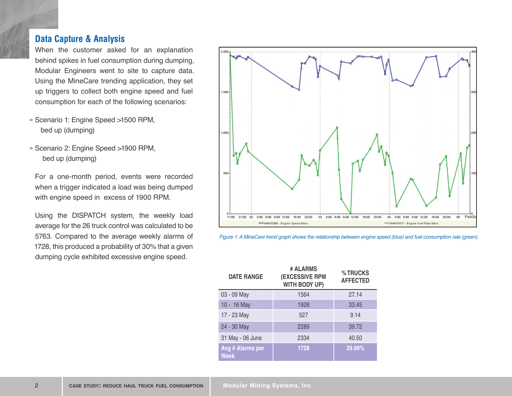# **Data Capture & Analysis**

When the customer asked for an explanation behind spikes in fuel consumption during dumping, Modular Engineers went to site to capture data. Using the MineCare trending application, they set up triggers to collect both engine speed and fuel consumption for each of the following scenarios:

- » Scenario 1: Engine Speed >1500 RPM, bed up (dumping)
- » Scenario 2: Engine Speed >1900 RPM, bed up (dumping)

For a one-month period, events were recorded when a trigger indicated a load was being dumped with engine speed in excess of 1900 RPM.

Using the DISPATCH system, the weekly load average for the 26 truck control was calculated to be 5763. Compared to the average weekly alarms of 1728, this produced a probability of 30% that a given dumping cycle exhibited excessive engine speed.





| <b>DATE RANGE</b>               | # ALARMS<br><b>(EXCESSIVE RPM</b><br>WITH BODY UP) | %TRUCKS<br><b>AFFECTED</b> |
|---------------------------------|----------------------------------------------------|----------------------------|
| 03 - 09 May                     | 1564                                               | 27.14                      |
| 10 - 16 May                     | 1928                                               | 33.45                      |
| 17 - 23 May                     | 527                                                | 9.14                       |
| 24 - 30 May                     | 2289                                               | 39.72                      |
| 31 May - 06 June                | 2334                                               | 40.50                      |
| Avg # Alarms per<br><b>Week</b> | 1728                                               | 29.99%                     |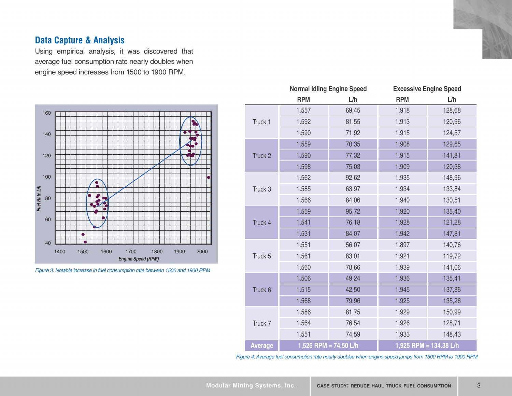# **Data Capture & Analysis**

Using empirical analysis, it was discovered that average fuel consumption rate nearly doubles when engine speed increases from 1500 to 1900 RPM.



*Figure 3: Notable increase in fuel consumption rate between 1500 and 1900 RPM*

|                | <b>Normal Idling Engine Speed</b> |       |                        | <b>Excessive Engine Speed</b> |  |
|----------------|-----------------------------------|-------|------------------------|-------------------------------|--|
|                | <b>RPM</b>                        | L/h   | <b>RPM</b>             | L/h                           |  |
| Truck 1        | 1.557                             | 69,45 | 1.918                  | 128,68                        |  |
|                | 1.592                             | 81,55 | 1.913                  | 120,96                        |  |
|                | 1.590                             | 71,92 | 1.915                  | 124,57                        |  |
| Truck 2        | 1.559                             | 70,35 | 1.908                  | 129,65                        |  |
|                | 1.590                             | 77,32 | 1.915                  | 141,81                        |  |
|                | 1.598                             | 75,03 | 1.909                  | 120,38                        |  |
| Truck 3        | 1.562                             | 92,62 | 1.935                  | 148,96                        |  |
|                | 1.585                             | 63,97 | 1.934                  | 133,84                        |  |
|                | 1.566                             | 84,06 | 1.940                  | 130,51                        |  |
| Truck 4        | 1.559                             | 95,72 | 1.920                  | 135,40                        |  |
|                | 1.541                             | 76,18 | 1.928                  | 121,28                        |  |
|                | 1.531                             | 84,07 | 1.942                  | 147,81                        |  |
| Truck 5        | 1.551                             | 56,07 | 1.897                  | 140,76                        |  |
|                | 1.561                             | 83,01 | 1.921                  | 119,72                        |  |
|                | 1.560                             | 78,66 | 1.939                  | 141,06                        |  |
| Truck 6        | 1.506                             | 49,24 | 1.936                  | 135,41                        |  |
|                | 1.515                             | 42,50 | 1.945                  | 137,86                        |  |
|                | 1.568                             | 79,96 | 1.925                  | 135,26                        |  |
| Truck 7        | 1.586                             | 81,75 | 1.929                  | 150,99                        |  |
|                | 1.564                             | 76,54 | 1.926                  | 128,71                        |  |
|                | 1.551                             | 74,59 | 1.933                  | 148,43                        |  |
| <b>Average</b> | 1,526 RPM = $74.50$ L/h           |       | 1,925 RPM = 134.38 L/h |                               |  |

*Figure 4: Average fuel consumption rate nearly doubles when engine speed jumps from 1500 RPM to 1900 RPM*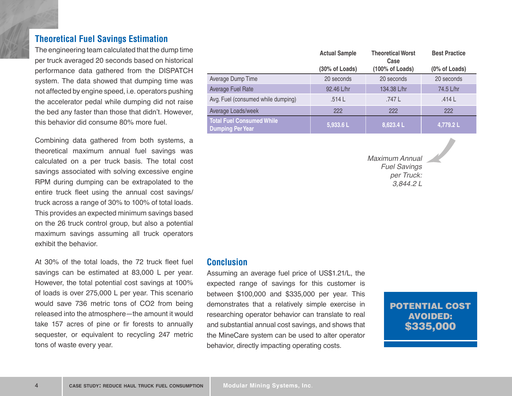# **Theoretical Fuel Savings Estimation**

The engineering team calculated that the dump time per truck averaged 20 seconds based on historical performance data gathered from the DISPATCH system. The data showed that dumping time was not affected by engine speed, i.e. operators pushing the accelerator pedal while dumping did not raise the bed any faster than those that didn't. However, this behavior did consume 80% more fuel.

Combining data gathered from both systems, a theoretical maximum annual fuel savings was calculated on a per truck basis. The total cost savings associated with solving excessive engine RPM during dumping can be extrapolated to the entire truck fleet using the annual cost savings/ truck across a range of 30% to 100% of total loads. This provides an expected minimum savings based on the 26 truck control group, but also a potential maximum savings assuming all truck operators exhibit the behavior.

At 30% of the total loads, the 72 truck fleet fuel savings can be estimated at 83,000 L per year. However, the total potential cost savings at 100% of loads is over 275,000 L per year. This scenario would save 736 metric tons of CO2 from being released into the atmosphere—the amount it would take 157 acres of pine or fir forests to annually sequester, or equivalent to recycling 247 metric tons of waste every year.

|                                                             | <b>Actual Sample</b> | <b>Theoretical Worst</b><br>Case | <b>Best Practice</b> |
|-------------------------------------------------------------|----------------------|----------------------------------|----------------------|
|                                                             | (30% of Loads)       | (100% of Loads)                  | (0% of Loads)        |
| Average Dump Time                                           | 20 seconds           | 20 seconds                       | 20 seconds           |
| Average Fuel Rate                                           | 92.46 L/hr           | 134.38 L/hr                      | 74.5 L/hr            |
| Avg. Fuel (consumed while dumping)                          | .514L                | .747 L                           | .414L                |
| Average Loads/week                                          | 222                  | 222                              | 222                  |
| <b>Total Fuel Consumed While</b><br><b>Dumping Per Year</b> | 5,933.6L             | 8,623.4L                         | 4,779.2 L            |

*Maximum Annual Fuel Savings per Truck: 3,844.2 L*

#### **Conclusion**

Assuming an average fuel price of US\$1.21/L, the expected range of savings for this customer is between \$100,000 and \$335,000 per year. This demonstrates that a relatively simple exercise in researching operator behavior can translate to real and substantial annual cost savings, and shows that the MineCare system can be used to alter operator behavior, directly impacting operating costs.

POTENTIAL COST AVOIDED: \$335,000